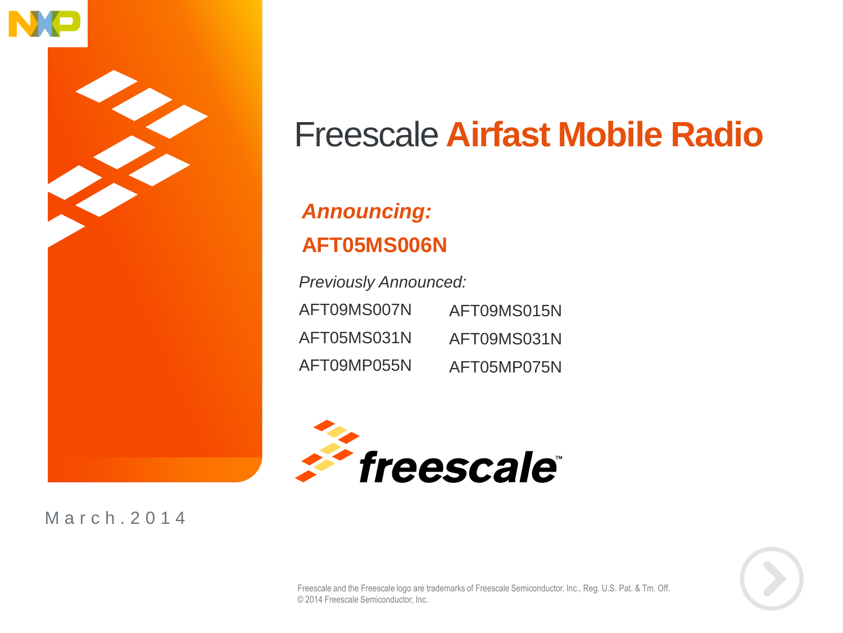

### Freescale **Airfast Mobile Radio**

#### *Announcing:* **AFT05MS006N**

*Previously Announced:* AFT09MS007N AFT05MS031N AFT09MP055N AFT09MS015N AFT09MS031N AFT05MP075N



M a r c h . 2 0 1 4



Freescale and the Freescale logo are trademarks of Freescale Semiconductor, Inc., Reg. U.S. Pat. & Tm. Off. © 2014 Freescale Semiconductor, Inc.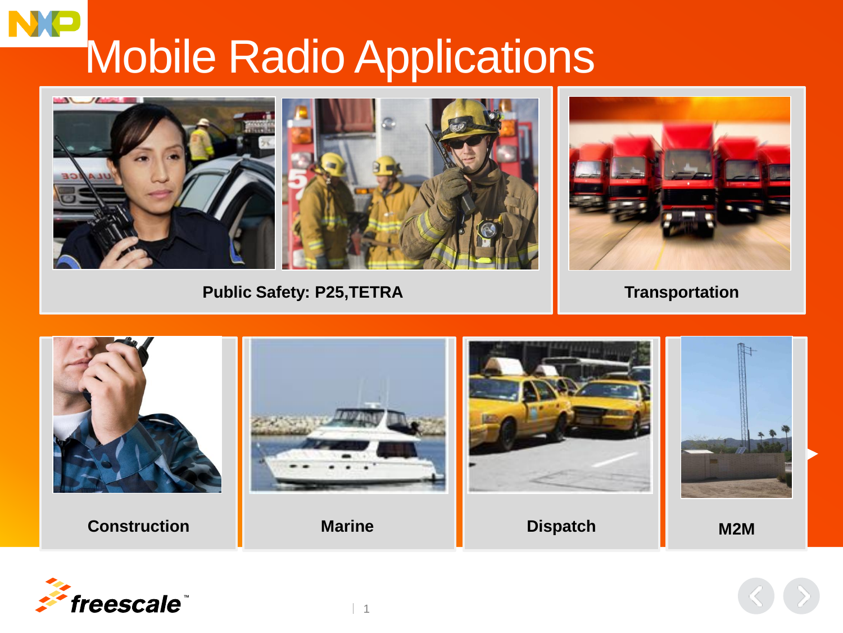# Mobile Radio Applications



**Public Safety: P25,TETRA**

**Transportation**



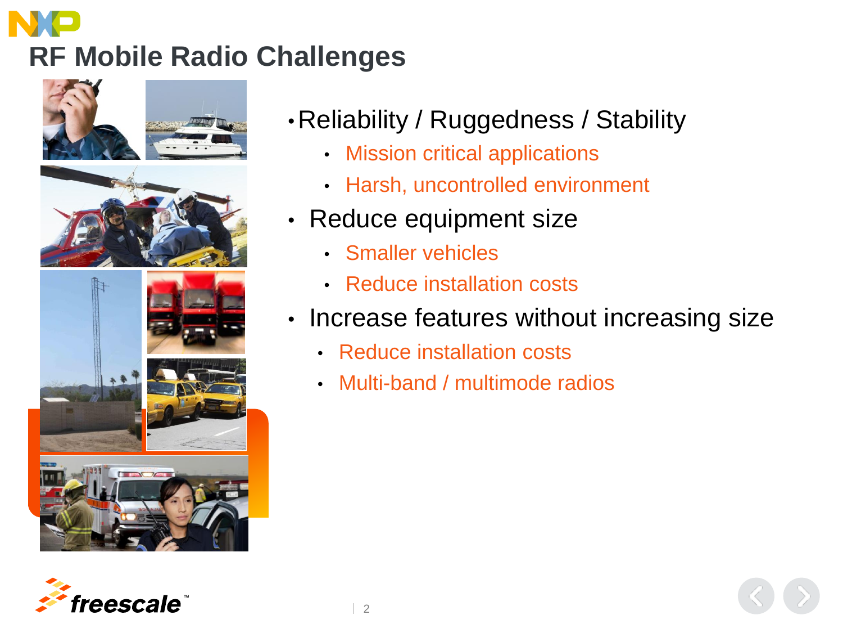# **RF Mobile Radio Challenges**



- •Reliability / Ruggedness / Stability
	- Mission critical applications
	- Harsh, uncontrolled environment
- Reduce equipment size
	- Smaller vehicles
	- Reduce installation costs
- Increase features without increasing size
	- Reduce installation costs
	- Multi-band / multimode radios

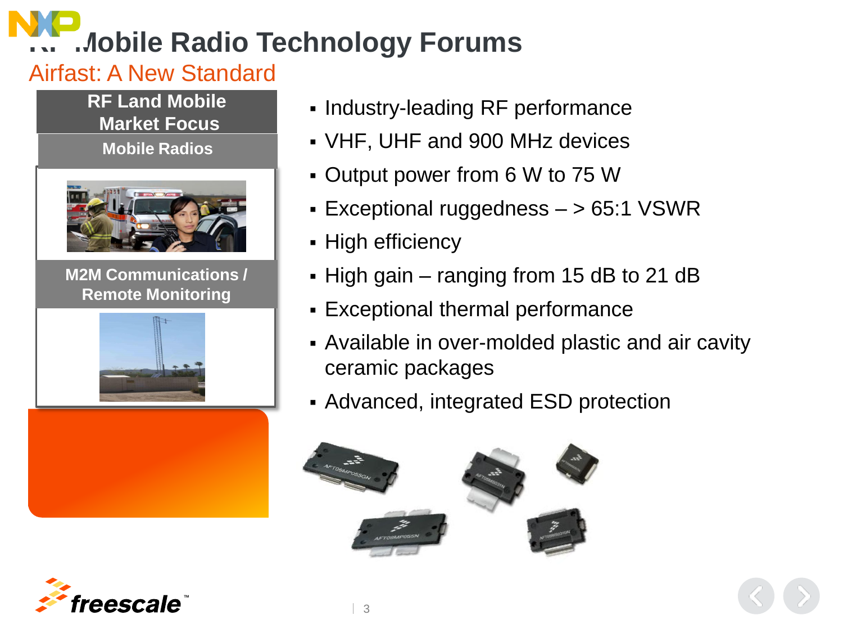## **Radio Technology Forums**

#### Airfast: A New Standard

**RF Land Mobile Market Focus**

**Mobile Radios**



**M2M Communications / Remote Monitoring**





- VHF, UHF and 900 MHz devices
- Output power from 6 W to 75 W
- Exceptional ruggedness  $-$  > 65:1 VSWR
- High efficiency
- High gain ranging from 15 dB to 21 dB
- Exceptional thermal performance
- Available in over-molded plastic and air cavity ceramic packages
- Advanced, integrated ESD protection



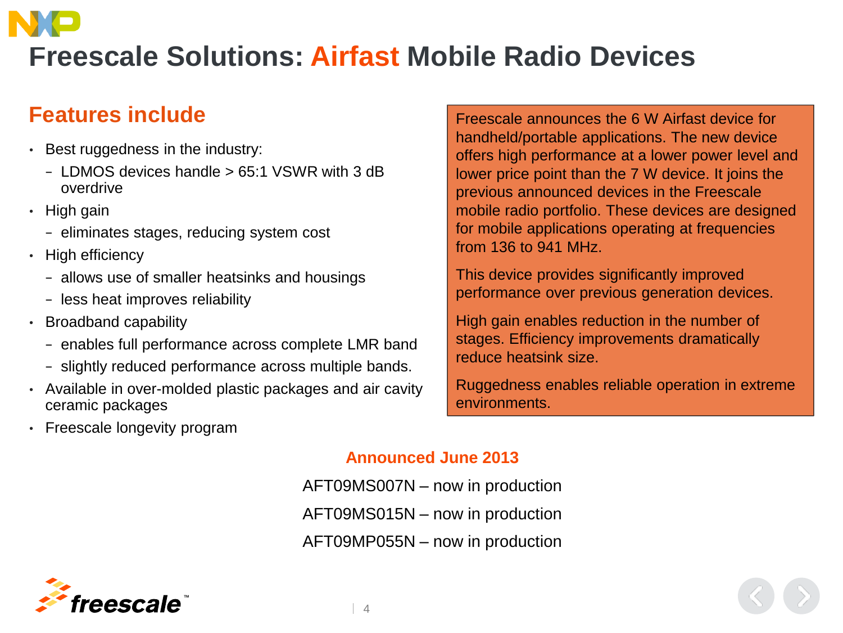## **Freescale Solutions: Airfast Mobile Radio Devices**

#### **Features include**

- Best ruggedness in the industry:
	- − LDMOS devices handle > 65:1 VSWR with 3 dB overdrive
- High gain
	- − eliminates stages, reducing system cost
- High efficiency
	- − allows use of smaller heatsinks and housings
	- − less heat improves reliability
- Broadband capability
	- − enables full performance across complete LMR band
	- − slightly reduced performance across multiple bands.
- Available in over-molded plastic packages and air cavity ceramic packages
- Freescale longevity program

Freescale announces the 6 W Airfast device for handheld/portable applications. The new device offers high performance at a lower power level and lower price point than the 7 W device. It joins the previous announced devices in the Freescale mobile radio portfolio. These devices are designed for mobile applications operating at frequencies from 136 to 941 MHz.

This device provides significantly improved performance over previous generation devices.

High gain enables reduction in the number of stages. Efficiency improvements dramatically reduce heatsink size.

Ruggedness enables reliable operation in extreme environments.

#### **Announced June 2013**

AFT09MS007N – now in production AFT09MS015N – now in production AFT09MP055N – now in production

 $\begin{array}{\begin{array}{\small \end{array}}$ 

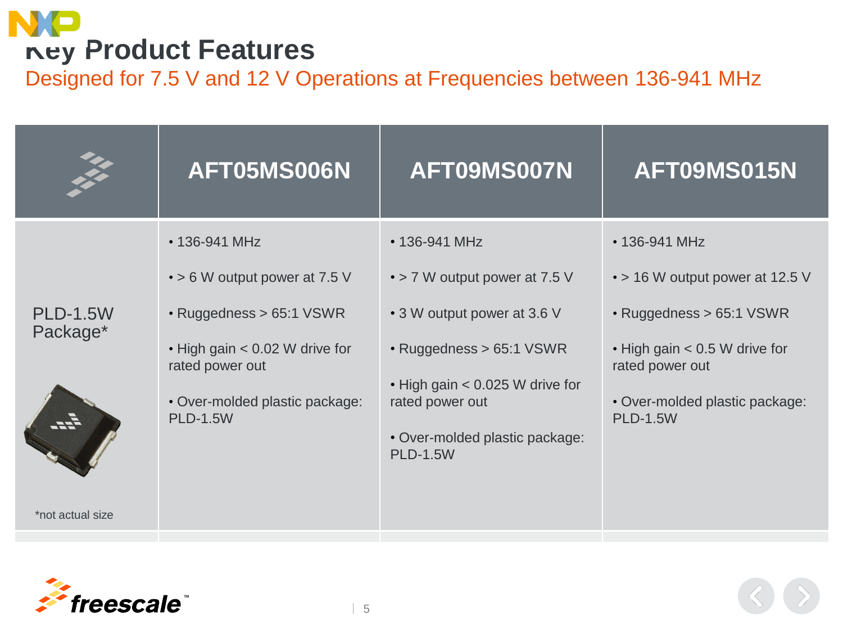## **Key Product Features**

Designed for 7.5 V and 12 V Operations at Frequencies between 136-941 MHz

| XX                          | AFT05MS006N                                       | AFT09MS007N                                                 | AFT09MS015N                                              |
|-----------------------------|---------------------------------------------------|-------------------------------------------------------------|----------------------------------------------------------|
| <b>PLD-1.5W</b><br>Package* | • 136-941 MHz                                     | • 136-941 MHz                                               | • 136-941 MHz                                            |
|                             | $\cdot$ > 6 W output power at 7.5 V               | • > 7 W output power at 7.5 V                               | $\cdot$ > 16 W output power at 12.5 V                    |
|                             | • Ruggedness > 65:1 VSWR                          | • 3 W output power at 3.6 V                                 | • Ruggedness > 65:1 VSWR                                 |
|                             | . High gain < 0.02 W drive for<br>rated power out | • Ruggedness > 65:1 VSWR<br>• High gain < 0.025 W drive for | $\cdot$ High gain $< 0.5$ W drive for<br>rated power out |
|                             | • Over-molded plastic package:<br><b>PLD-1.5W</b> | rated power out                                             | • Over-molded plastic package:<br><b>PLD-1.5W</b>        |
|                             |                                                   | • Over-molded plastic package:<br><b>PLD-1.5W</b>           |                                                          |
| *not actual size            |                                                   |                                                             |                                                          |

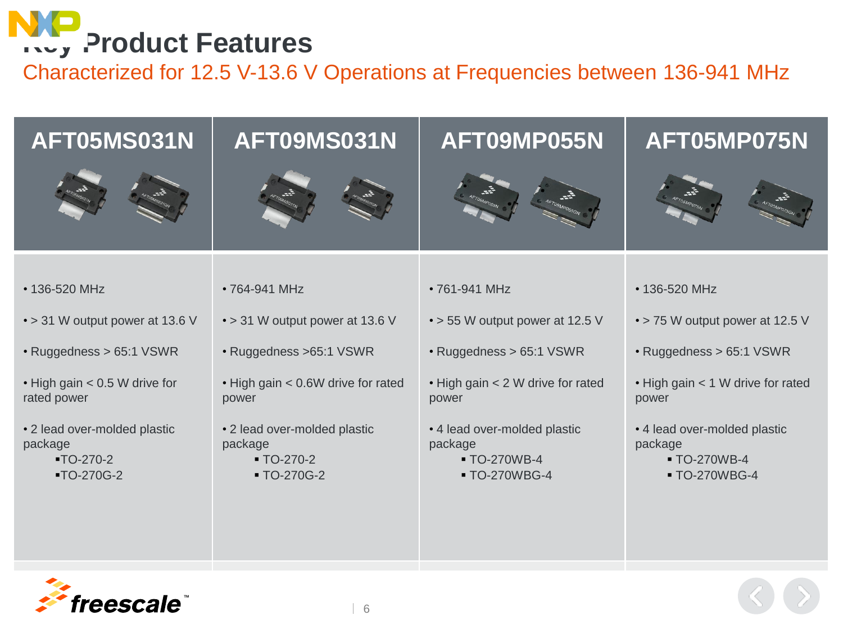

Characterized for 12.5 V-13.6 V Operations at Frequencies between 136-941 MHz

| AFT05MS031N                                                            | AFT09MS031N                                                                       | AFT09MP055N                                                              | AFT05MP075N                                                              |
|------------------------------------------------------------------------|-----------------------------------------------------------------------------------|--------------------------------------------------------------------------|--------------------------------------------------------------------------|
|                                                                        |                                                                                   |                                                                          |                                                                          |
| • 136-520 MHz                                                          | • 764-941 MHz                                                                     | •761-941 MHz                                                             | • 136-520 MHz                                                            |
| • > 31 W output power at 13.6 V                                        | • > 31 W output power at 13.6 V                                                   | • > 55 W output power at 12.5 V                                          | • > 75 W output power at 12.5 V                                          |
| • Ruggedness > 65:1 VSWR                                               | · Ruggedness >65:1 VSWR                                                           | • Ruggedness > 65:1 VSWR                                                 | · Ruggedness > 65:1 VSWR                                                 |
| . High gain < 0.5 W drive for<br>rated power                           | • High gain < 0.6W drive for rated<br>power                                       | • High gain < 2 W drive for rated<br>power                               | . High gain < 1 W drive for rated<br>power                               |
| • 2 lead over-molded plastic<br>package<br>$-TO-270-2$<br>$-TO-270G-2$ | • 2 lead over-molded plastic<br>package<br>$\blacksquare$ TO-270-2<br>■ TO-270G-2 | • 4 lead over-molded plastic<br>package<br>■ TO-270WB-4<br>■ TO-270WBG-4 | • 4 lead over-molded plastic<br>package<br>■ TO-270WB-4<br>■ TO-270WBG-4 |

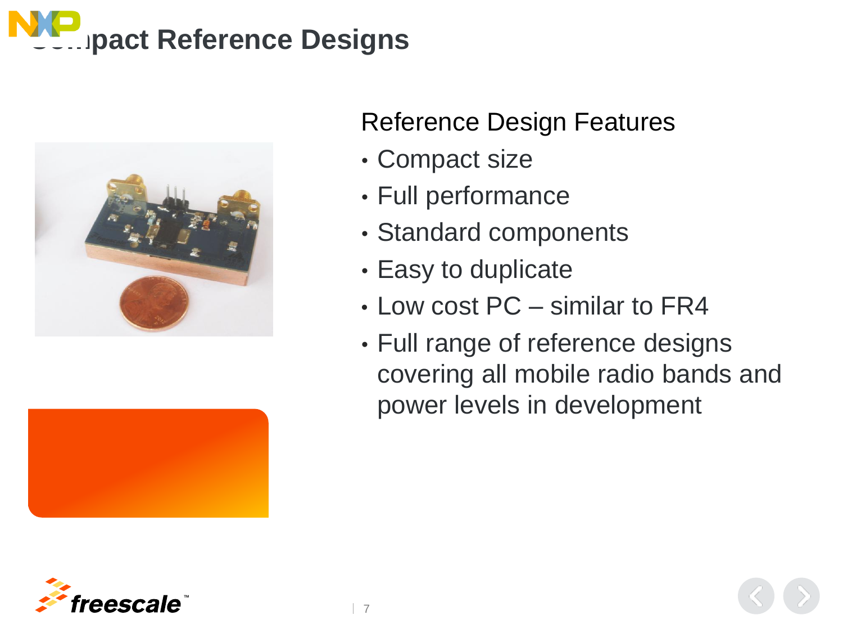





#### Reference Design Features

- Compact size
- Full performance
- Standard components
- Easy to duplicate

7

- Low cost PC similar to FR4
- Full range of reference designs covering all mobile radio bands and power levels in development

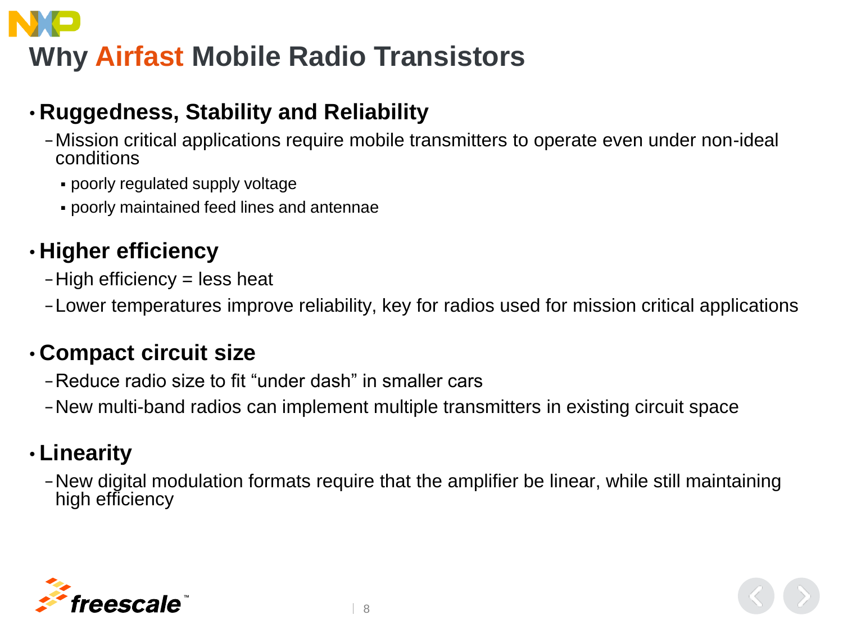# **Why Airfast Mobile Radio Transistors**

#### • **Ruggedness, Stability and Reliability**

- −Mission critical applications require mobile transmitters to operate even under non-ideal conditions
	- poorly regulated supply voltage
	- poorly maintained feed lines and antennae

#### • **Higher efficiency**

- −High efficiency = less heat
- −Lower temperatures improve reliability, key for radios used for mission critical applications

#### • **Compact circuit size**

- −Reduce radio size to fit "under dash" in smaller cars
- −New multi-band radios can implement multiple transmitters in existing circuit space

#### • **Linearity**

−New digital modulation formats require that the amplifier be linear, while still maintaining high efficiency

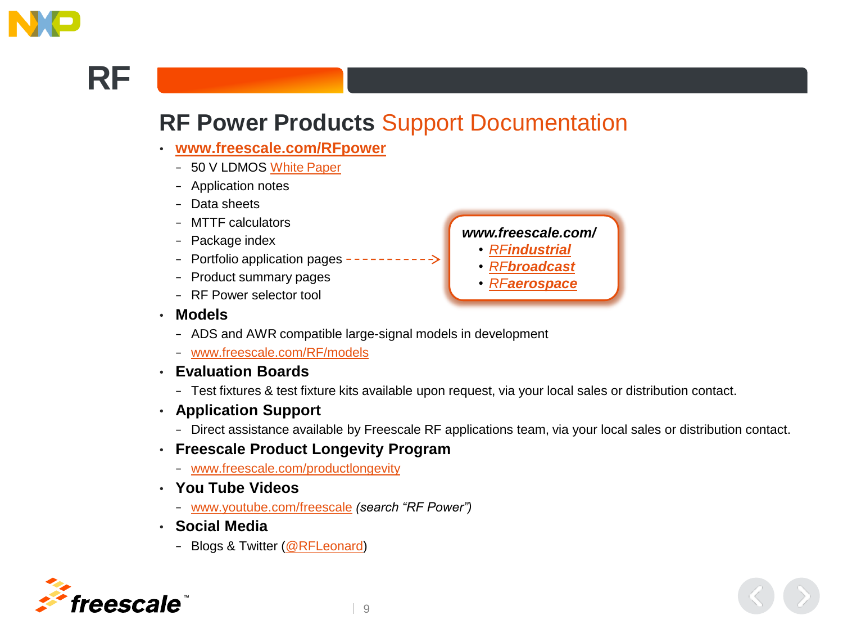

### **RF**

#### **RF Power Products** Support Documentation

- **[www.freescale.com/RFpower](http://www.freescale.com/RFpower)**
	- − 50 V LDMOS [White Paper](https://www.freescale.com/security/public/login.LoginActionController.sp)
	- − Application notes
	- − Data sheets
	- − MTTF calculators
	- − Package index
	- − Portfolio application pages
	- − Product summary pages
	- − RF Power selector tool
- **Models**
	- − ADS and AWR compatible large-signal models in development
	- − [www.freescale.com/RF/models](http://www.freescale.com/rf/models)
- **Evaluation Boards**
	- − Test fixtures & test fixture kits available upon request, via your local sales or distribution contact.
- **Application Support**
	- − Direct assistance available by Freescale RF applications team, via your local sales or distribution contact.
- **Freescale Product Longevity Program**
	- − [www.freescale.com/productlongevity](http://www.freescale.com/productlongevity)
- **You Tube Videos**
	- − [www.youtube.com/freescale](http://www.youtube.com/freescale) *(search "RF Power")*
- **Social Media**
	- − Blogs & Twitter ([@RFLeonard](http://twitter.com/rfleonard))



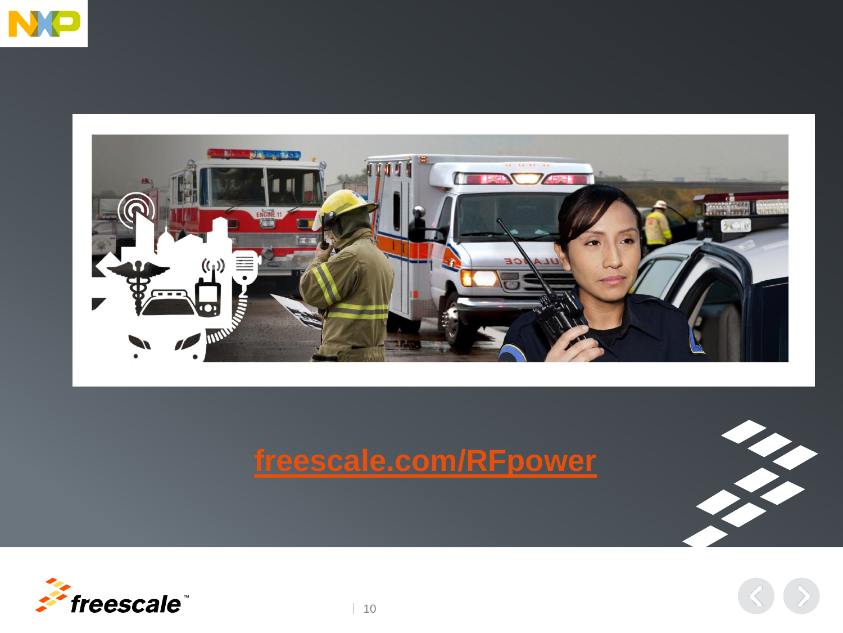



### **[freescale.com/RFpower](http://www.freescale.com/RFpower)**